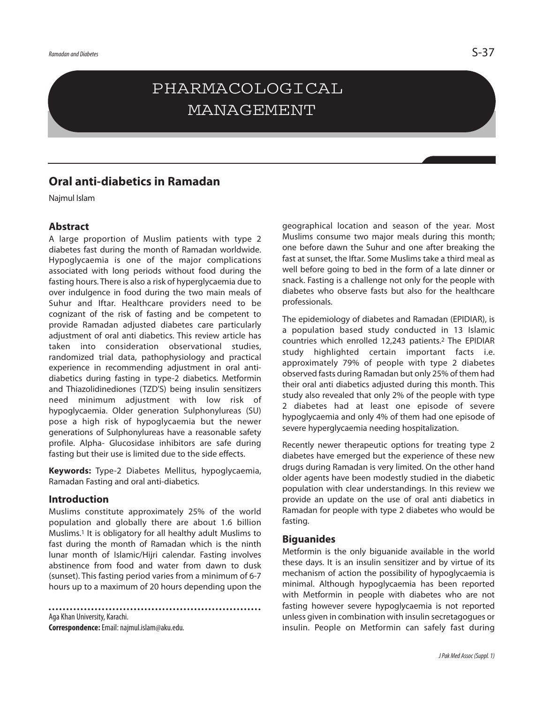# PHARMACOLOGICAL MANAGEMENT

## **Oral anti-diabetics in Ramadan**

Najmul Islam

### **Abstract**

A large proportion of Muslim patients with type 2 diabetes fast during the month of Ramadan worldwide. Hypoglycaemia is one of the major complications associated with long periods without food during the fasting hours. There is also a risk of hyperglycaemia due to over indulgence in food during the two main meals of Suhur and Iftar. Healthcare providers need to be cognizant of the risk of fasting and be competent to provide Ramadan adjusted diabetes care particularly adjustment of oral anti diabetics. This review article has taken into consideration observational studies, randomized trial data, pathophysiology and practical experience in recommending adjustment in oral antidiabetics during fasting in type-2 diabetics. Metformin and Thiazolidinediones (TZD'S) being insulin sensitizers need minimum adjustment with low risk of hypoglycaemia. Older generation Sulphonylureas (SU) pose a high risk of hypoglycaemia but the newer generations of Sulphonylureas have a reasonable safety profile. Alpha- Glucosidase inhibitors are safe during fasting but their use is limited due to the side effects.

**Keywords:** Type-2 Diabetes Mellitus, hypoglycaemia, Ramadan Fasting and oral anti-diabetics.

#### **Introduction**

Muslims constitute approximately 25% of the world population and globally there are about 1.6 billion Muslims. <sup>1</sup> It is obligatory for all healthy adult Muslims to fast during the month of Ramadan which is the ninth lunar month of Islamic/Hiiri calendar. Fasting involves abstinence from food and water from dawn to dusk (sunset). This fasting period varies from a minimum of 6-7 hours up to a maximum of 20 hours depending upon the

Aga Khan University, Karachi. **Correspondence:**Email: najmul.islam@aku.edu.

geographical location and season of the year. Most Muslims consume two major meals during this month; one before dawn the Suhur and one after breaking the fast at sunset, the Iftar. Some Muslims take a third meal as well before going to bed in the form of a late dinner or snack. Fasting is a challenge not only for the people with diabetes who observe fasts but also for the healthcare professionals.

The epidemiology of diabetes and Ramadan (EPIDIAR), is a population based study conducted in 13 Islamic countries which enrolled 12,243 patients. <sup>2</sup> The EPIDIAR study highlighted certain important facts i.e. approximately 79% of people with type 2 diabetes observed fasts during Ramadan but only 25% of them had their oral anti diabetics adjusted during this month. This study also revealed that only 2% of the people with type 2 diabetes had at least one episode of severe hypoglycaemia and only 4% of them had one episode of severe hyperglycaemia needing hospitalization.

Recently newer therapeutic options for treating type 2 diabetes have emerged but the experience of these new drugs during Ramadan is very limited. On the other hand older agents have been modestly studied in the diabetic population with clear understandings. In this review we provide an update on the use of oral anti diabetics in Ramadan for people with type 2 diabetes who would be fasting.

#### **Biguanides**

Metformin is the only biguanide available in the world these days. It is an insulin sensitizer and by virtue of its mechanism of action the possibility of hypoglycaemia is minimal. Although hypoglycaemia has been reported with Metformin in people with diabetes who are not fasting however severe hypoglycaemia is not reported unless given in combination with insulin secretagogues or insulin. People on Metformin can safely fast during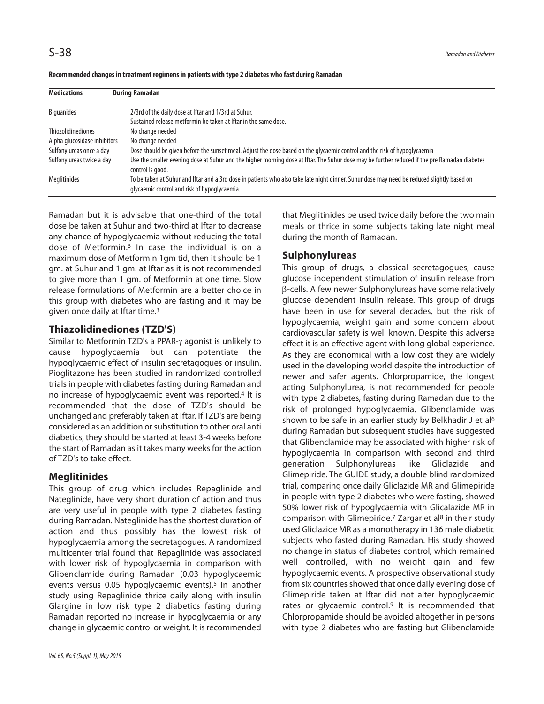| <b>Medications</b>           | <b>During Ramadan</b>                                                                                                                                                                       |
|------------------------------|---------------------------------------------------------------------------------------------------------------------------------------------------------------------------------------------|
| <b>Biguanides</b>            | 2/3rd of the daily dose at Iftar and 1/3rd at Suhur.                                                                                                                                        |
|                              | Sustained release metformin be taken at Iftar in the same dose.                                                                                                                             |
| <b>Thiozolidinediones</b>    | No change needed                                                                                                                                                                            |
| Alpha glucosidase inhibitors | No change needed                                                                                                                                                                            |
| Sulfonylureas once a day     | Dose should be given before the sunset meal. Adjust the dose based on the glycaemic control and the risk of hypoglycaemia                                                                   |
| Sulfonylureas twice a day    | Use the smaller evening dose at Suhur and the higher morning dose at Iftar. The Suhur dose may be further reduced if the pre Ramadan diabetes<br>control is good.                           |
| Meglitinides                 | To be taken at Suhur and Iftar and a 3rd dose in patients who also take late night dinner. Suhur dose may need be reduced slightly based on<br>glycaemic control and risk of hypoglycaemia. |

**Recommended changes in treatment regimens in patients with type 2 diabetes who fast during Ramadan**

Ramadan but it is advisable that one-third of the total dose be taken at Suhur and two-third at Iftar to decrease any chance of hypoglycaemia without reducing the total dose of Metformin. 3 In case the individual is on a maximum dose of Metformin 1gm tid, then it should be 1 gm. at Suhur and 1 gm. at Iftar as it is not recommended to give more than 1 gm. of Metformin at one time. Slow release formulations of Metformin are a better choice in this group with diabetes who are fasting and it may be given once daily at Iftar time.<sup>3</sup>

## **Thiazolidinediones (TZD'S)**

Similar to Metformin TZD's a PPAR-γ agonist is unlikely to cause hypoglycaemia but can potentiate the hypoglycaemic effect of insulin secretagogues or insulin. Pioglitazone has been studied in randomized controlled trials in people with diabetes fasting during Ramadan and no increase of hypoglycaemic event was reported. <sup>4</sup> It is recommended that the dose of TZD's should be unchanged and preferably taken at Iftar. If TZD's are being considered as an addition orsubstitution to other oral anti diabetics, they should be started at least 3-4 weeks before the start of Ramadan as it takes many weeks for the action of TZD's to take effect.

## **Meglitinides**

This group of drug which includes Repaglinide and Nateglinide, have very short duration of action and thus are very useful in people with type 2 diabetes fasting during Ramadan. Nateglinide has the shortest duration of action and thus possibly has the lowest risk of hypoglycaemia among the secretagogues. A randomized multicenter trial found that Repaglinide was associated with lower risk of hypoglycaemia in comparison with Glibenclamide during Ramadan (0.03 hypoglycaemic events versus 0.05 hypoglycaemic events). <sup>5</sup> In another study using Repaglinide thrice daily along with insulin Glargine in low risk type 2 diabetics fasting during Ramadan reported no increase in hypoglycaemia or any change in glycaemic control or weight. It is recommended

that Meglitinides be used twice daily before the two main meals or thrice in some subjects taking late night meal during the month of Ramadan.

## **Sulphonylureas**

This group of drugs, a classical secretagogues, cause glucose independent stimulation of insulin release from β-cells. A few newer Sulphonylureas have some relatively glucose dependent insulin release. This group of drugs have been in use for several decades, but the risk of hypoglycaemia, weight gain and some concern about cardiovascular safety is well known. Despite this adverse effect it is an effective agent with long global experience. As they are economical with a low cost they are widely used in the developing world despite the introduction of newer and safer agents. Chlorpropamide, the longest acting Sulphonylurea, is not recommended for people with type 2 diabetes, fasting during Ramadan due to the risk of prolonged hypoglycaemia. Glibenclamide was shown to be safe in an earlier study by Belkhadir J et al<sup>6</sup> during Ramadan but subsequent studies have suggested that Glibenclamide may be associated with higher risk of hypoglycaemia in comparison with second and third generation Sulphonylureas like Gliclazide and Glimepiride. The GUIDE study, a double blind randomized trial, comparing once daily Gliclazide MR and Glimepiride in people with type 2 diabetes who were fasting, showed 50% lower risk of hypoglycaemia with Glicalazide MR in comparison with Glimepiride.<sup>7</sup> Zargar et al<sup>8</sup> in their study used Gliclazide MR as a monotherapy in 136 male diabetic subjects who fasted during Ramadan. His study showed no change in status of diabetes control, which remained well controlled, with no weight gain and few hypoglycaemic events. A prospective observational study from six countries showed that once daily evening dose of Glimepiride taken at Iftar did not alter hypoglycaemic rates or glycaemic control.<sup>9</sup> It is recommended that Chlorpropamide should be avoided altogether in persons with type 2 diabetes who are fasting but Glibenclamide